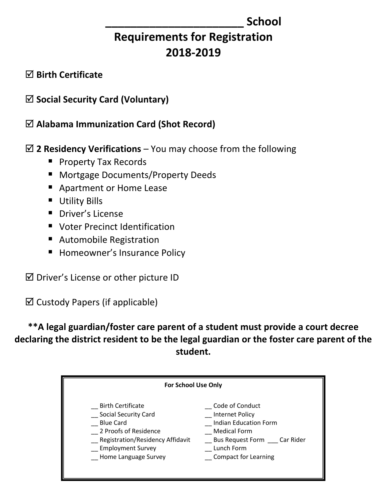# **\_\_\_\_\_\_\_\_\_\_\_\_\_\_\_\_\_\_\_\_\_\_ School**

# **Requirements for Registration 2018-2019**

## **Birth Certificate**

# **Social Security Card (Voluntary)**

**Alabama Immunization Card (Shot Record)**

# **2 Residency Verifications** – You may choose from the following

- **Property Tax Records**
- **Mortgage Documents/Property Deeds**
- Apartment or Home Lease
- **Utility Bills**
- **P** Driver's License
- **U** Voter Precinct Identification
- Automobile Registration
- **Homeowner's Insurance Policy**
- $\boxtimes$  Driver's License or other picture ID

 $\boxtimes$  Custody Papers (if applicable)

**\*\*A legal guardian/foster care parent of a student must provide a court decree declaring the district resident to be the legal guardian or the foster care parent of the student.**

| <b>For School Use Only</b>       |                              |  |  |  |  |  |
|----------------------------------|------------------------------|--|--|--|--|--|
| <b>Birth Certificate</b>         | Code of Conduct              |  |  |  |  |  |
| <b>Social Security Card</b>      | Internet Policy              |  |  |  |  |  |
| <b>Blue Card</b>                 | <b>Indian Education Form</b> |  |  |  |  |  |
| 2 Proofs of Residence            | <b>Medical Form</b>          |  |  |  |  |  |
| Registration/Residency Affidavit | Bus Request Form Car Rider   |  |  |  |  |  |
| <b>Employment Survey</b>         | Lunch Form                   |  |  |  |  |  |
| Home Language Survey             | <b>Compact for Learning</b>  |  |  |  |  |  |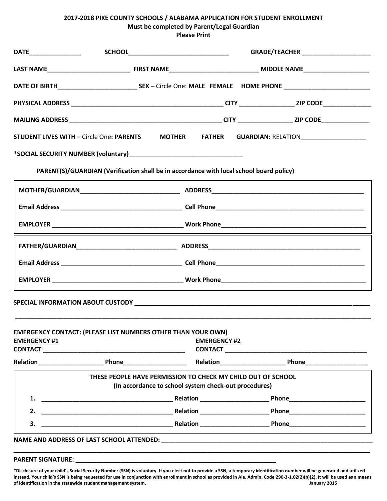### **2017-2018 PIKE COUNTY SCHOOLS / ALABAMA APPLICATION FOR STUDENT ENROLLMENT Must be completed by Parent/Legal Guardian Please Print**

| STUDENT LIVES WITH - Circle One: PARENTS MOTHER FATHER GUARDIAN: RELATION CONTROLL CONTROLLERGY |                                                              |                     |                             |
|-------------------------------------------------------------------------------------------------|--------------------------------------------------------------|---------------------|-----------------------------|
|                                                                                                 |                                                              |                     |                             |
| PARENT(S)/GUARDIAN (Verification shall be in accordance with local school board policy)         |                                                              |                     |                             |
|                                                                                                 |                                                              |                     |                             |
|                                                                                                 |                                                              |                     |                             |
|                                                                                                 |                                                              |                     |                             |
|                                                                                                 |                                                              |                     |                             |
|                                                                                                 |                                                              |                     |                             |
|                                                                                                 |                                                              |                     |                             |
|                                                                                                 |                                                              |                     |                             |
|                                                                                                 |                                                              |                     |                             |
| <b>EMERGENCY CONTACT: (PLEASE LIST NUMBERS OTHER THAN YOUR OWN)</b><br><b>EMERGENCY #1</b>      |                                                              | <b>EMERGENCY #2</b> |                             |
|                                                                                                 |                                                              |                     | CONTACT <b>Example 2018</b> |
|                                                                                                 |                                                              |                     |                             |
|                                                                                                 | THESE PEOPLE HAVE PERMISSION TO CHECK MY CHILD OUT OF SCHOOL |                     |                             |
|                                                                                                 | (In accordance to school system check-out procedures)        |                     |                             |
| 1.                                                                                              |                                                              |                     |                             |
| 2.                                                                                              |                                                              |                     |                             |
| 3.                                                                                              |                                                              |                     |                             |
|                                                                                                 |                                                              |                     |                             |

#### PARENT SIGNATURE:

**\*Disclosure of your child's Social Security Number (SSN) is voluntary. If you elect not to provide a SSN, a temporary identification number will be generated and utilized instead. Your child's SSN is being requested for use in conjunction with enrollment in school as provided in Ala. Admin. Code 290-3-1.02(2)(b)(2). It will be used as a means**  of identification in the statewide student management system.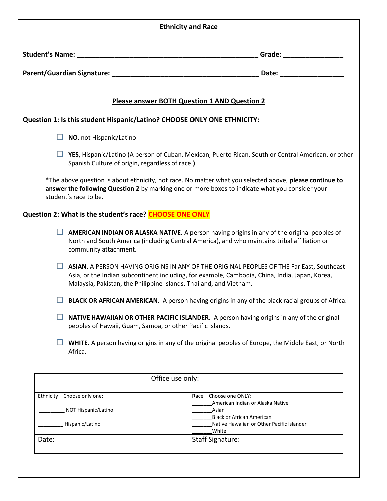|                                                           | <b>Ethnicity and Race</b>                                                                                                                                                                                                                                        |
|-----------------------------------------------------------|------------------------------------------------------------------------------------------------------------------------------------------------------------------------------------------------------------------------------------------------------------------|
|                                                           |                                                                                                                                                                                                                                                                  |
|                                                           |                                                                                                                                                                                                                                                                  |
|                                                           | Please answer BOTH Question 1 AND Question 2                                                                                                                                                                                                                     |
|                                                           | Question 1: Is this student Hispanic/Latino? CHOOSE ONLY ONE ETHNICITY:                                                                                                                                                                                          |
| $\Box$ NO, not Hispanic/Latino                            |                                                                                                                                                                                                                                                                  |
| Spanish Culture of origin, regardless of race.)           | <b>T</b> YES, Hispanic/Latino (A person of Cuban, Mexican, Puerto Rican, South or Central American, or other                                                                                                                                                     |
| student's race to be.                                     | *The above question is about ethnicity, not race. No matter what you selected above, please continue to<br>answer the following Question 2 by marking one or more boxes to indicate what you consider your                                                       |
| Question 2: What is the student's race? CHOOSE ONE ONLY   |                                                                                                                                                                                                                                                                  |
| community attachment.                                     | AMERICAN INDIAN OR ALASKA NATIVE. A person having origins in any of the original peoples of<br>North and South America (including Central America), and who maintains tribal affiliation or                                                                      |
|                                                           | ASIAN. A PERSON HAVING ORIGINS IN ANY OF THE ORIGINAL PEOPLES OF THE Far East, Southeast<br>Asia, or the Indian subcontinent including, for example, Cambodia, China, India, Japan, Korea,<br>Malaysia, Pakistan, the Philippine Islands, Thailand, and Vietnam. |
|                                                           | BLACK OR AFRICAN AMERICAN. A person having origins in any of the black racial groups of Africa.                                                                                                                                                                  |
| peoples of Hawaii, Guam, Samoa, or other Pacific Islands. | NATIVE HAWAIIAN OR OTHER PACIFIC ISLANDER. A person having origins in any of the original                                                                                                                                                                        |
| Africa.                                                   | WHITE. A person having origins in any of the original peoples of Europe, the Middle East, or North                                                                                                                                                               |
|                                                           | Office use only:                                                                                                                                                                                                                                                 |
| Ethnicity - Choose only one:                              | Race - Choose one ONLY:                                                                                                                                                                                                                                          |
| NOT Hispanic/Latino                                       | American Indian or Alaska Native<br>Asian                                                                                                                                                                                                                        |
| Hispanic/Latino                                           | <b>Black or African American</b><br>Native Hawaiian or Other Pacific Islander<br>White                                                                                                                                                                           |
|                                                           |                                                                                                                                                                                                                                                                  |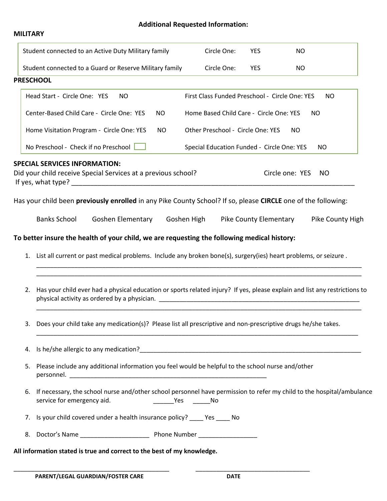## **Additional Requested Information:**

| MILITARY |
|----------|
|          |
|          |

|    | Student connected to an Active Duty Military family                                                                |                          |     | Circle One:                                    | <b>YES</b>             | <b>NO</b>       |                                                                                                                            |
|----|--------------------------------------------------------------------------------------------------------------------|--------------------------|-----|------------------------------------------------|------------------------|-----------------|----------------------------------------------------------------------------------------------------------------------------|
|    | Student connected to a Guard or Reserve Military family                                                            |                          |     | Circle One:                                    | YES                    | <b>NO</b>       |                                                                                                                            |
|    | <b>PRESCHOOL</b>                                                                                                   |                          |     |                                                |                        |                 |                                                                                                                            |
|    | Head Start - Circle One: YES                                                                                       | <b>NO</b>                |     | First Class Funded Preschool - Circle One: YES |                        |                 | <b>NO</b>                                                                                                                  |
|    | Center-Based Child Care - Circle One: YES                                                                          |                          | NO. | Home Based Child Care - Circle One: YES        |                        |                 | <b>NO</b>                                                                                                                  |
|    | Home Visitation Program - Circle One: YES                                                                          |                          | NO  | Other Preschool - Circle One: YES              |                        | NO              |                                                                                                                            |
|    | No Preschool - Check if no Preschool                                                                               |                          |     | Special Education Funded - Circle One: YES     |                        |                 | <b>NO</b>                                                                                                                  |
|    | <b>SPECIAL SERVICES INFORMATION:</b><br>Did your child receive Special Services at a previous school?              |                          |     |                                                |                        | Circle one: YES | NO.                                                                                                                        |
|    | Has your child been previously enrolled in any Pike County School? If so, please CIRCLE one of the following:      |                          |     |                                                |                        |                 |                                                                                                                            |
|    | <b>Banks School</b>                                                                                                | <b>Goshen Elementary</b> |     | Goshen High                                    | Pike County Elementary |                 | Pike County High                                                                                                           |
|    | To better insure the health of your child, we are requesting the following medical history:                        |                          |     |                                                |                        |                 |                                                                                                                            |
|    | 1. List all current or past medical problems. Include any broken bone(s), surgery(ies) heart problems, or seizure. |                          |     |                                                |                        |                 |                                                                                                                            |
| 2. |                                                                                                                    |                          |     |                                                |                        |                 | Has your child ever had a physical education or sports related injury? If yes, please explain and list any restrictions to |
| 3. | Does your child take any medication(s)? Please list all prescriptive and non-prescriptive drugs he/she takes.      |                          |     |                                                |                        |                 |                                                                                                                            |
|    |                                                                                                                    |                          |     |                                                |                        |                 |                                                                                                                            |
| 5. | Please include any additional information you feel would be helpful to the school nurse and/other                  |                          |     |                                                |                        |                 |                                                                                                                            |
| 6. | service for emergency aid.                                                                                         |                          |     | ___________________________No                  |                        |                 | If necessary, the school nurse and/other school personnel have permission to refer my child to the hospital/ambulance      |
| 7. | Is your child covered under a health insurance policy? _____ Yes _____ No                                          |                          |     |                                                |                        |                 |                                                                                                                            |
|    |                                                                                                                    |                          |     |                                                |                        |                 |                                                                                                                            |
|    | All information stated is true and correct to the best of my knowledge.                                            |                          |     |                                                |                        |                 |                                                                                                                            |

\_\_\_\_\_\_\_\_\_\_\_\_\_\_\_\_\_\_\_\_\_\_\_\_\_\_\_\_\_\_\_\_\_\_\_\_\_\_\_\_\_\_\_\_\_ \_\_\_\_\_\_\_\_\_\_\_\_\_\_\_\_\_\_\_\_\_\_\_\_\_\_\_\_\_\_\_\_\_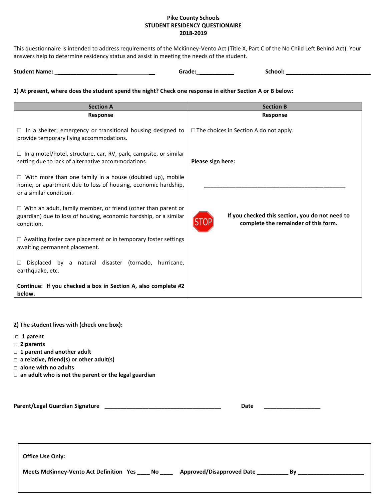### **Pike County Schools STUDENT RESIDENCY QUESTIONAIRE 2018-2019**

This questionnaire is intended to address requirements of the McKinney-Vento Act (Title X, Part C of the No Child Left Behind Act). Your answers help to determine residency status and assist in meeting the needs of the student.

|  | <b>Student Name:</b> | Grade <sup>.</sup> | school: |  |
|--|----------------------|--------------------|---------|--|
|--|----------------------|--------------------|---------|--|

**1) At present, where does the student spend the night? Check one response in either Section A or B below:**

| <b>Section A</b>                                                                                                                                             | <b>Section B</b>                                                                        |
|--------------------------------------------------------------------------------------------------------------------------------------------------------------|-----------------------------------------------------------------------------------------|
| Response                                                                                                                                                     | Response                                                                                |
| In a shelter; emergency or transitional housing designed to<br>□<br>provide temporary living accommodations.                                                 | $\Box$ The choices in Section A do not apply.                                           |
| $\Box$ In a motel/hotel, structure, car, RV, park, campsite, or similar<br>setting due to lack of alternative accommodations.                                | Please sign here:                                                                       |
| $\Box$ With more than one family in a house (doubled up), mobile<br>home, or apartment due to loss of housing, economic hardship,<br>or a similar condition. |                                                                                         |
| $\Box$ With an adult, family member, or friend (other than parent or<br>guardian) due to loss of housing, economic hardship, or a similar<br>condition.      | If you checked this section, you do not need to<br>complete the remainder of this form. |
| $\Box$ Awaiting foster care placement or in temporary foster settings<br>awaiting permanent placement.                                                       |                                                                                         |
| Displaced by a natural disaster (tornado, hurricane,<br>□<br>earthquake, etc.                                                                                |                                                                                         |
| Continue: If you checked a box in Section A, also complete #2<br>below.                                                                                      |                                                                                         |

#### **2) The student lives with (check one box):**

- **□ 1 parent**
- **□ 2 parents**
- **□ 1 parent and another adult**
- **□ a relative, friend(s) or other adult(s)**
- **□ alone with no adults**
- **□ an adult who is not the parent or the legal guardian**

| Parent/Legal Guardian Signature | Date |
|---------------------------------|------|
|                                 |      |
|                                 |      |

**Office Use Only:**

| Meets McKinney-Vento Act Definition Yes |  | $N$ o $\_\_$ | Approved/Disapproved Date |  |  |
|-----------------------------------------|--|--------------|---------------------------|--|--|
|-----------------------------------------|--|--------------|---------------------------|--|--|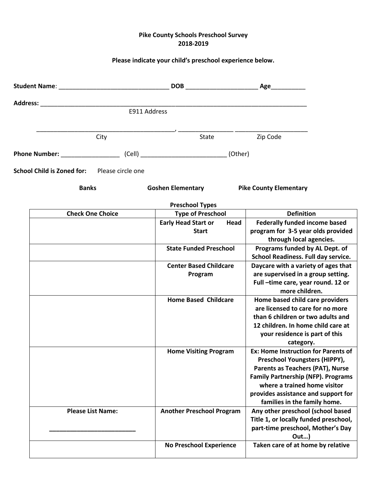### **Pike County Schools Preschool Survey 2018-2019**

## **Please indicate your child's preschool experience below.**

|                                              | E911 Address |                                                                                        |      |                                                                   |  |
|----------------------------------------------|--------------|----------------------------------------------------------------------------------------|------|-------------------------------------------------------------------|--|
|                                              | City         | State                                                                                  |      | Zip Code                                                          |  |
|                                              |              | Phone Number: ________________________(Cell) __________________________________(Other) |      |                                                                   |  |
| School Child is Zoned for: Please circle one |              |                                                                                        |      |                                                                   |  |
| <b>Banks</b>                                 |              | <b>Goshen Elementary</b>                                                               |      | <b>Pike County Elementary</b>                                     |  |
|                                              |              | <b>Preschool Types</b>                                                                 |      |                                                                   |  |
| <b>Check One Choice</b>                      |              | <b>Type of Preschool</b>                                                               |      | <b>Definition</b>                                                 |  |
|                                              |              | <b>Early Head Start or</b>                                                             | Head | <b>Federally funded income based</b>                              |  |
|                                              |              | <b>Start</b>                                                                           |      | program for 3-5 year olds provided                                |  |
|                                              |              |                                                                                        |      | through local agencies.                                           |  |
|                                              |              | <b>State Funded Preschool</b>                                                          |      | Programs funded by AL Dept. of                                    |  |
|                                              |              |                                                                                        |      | School Readiness. Full day service.                               |  |
|                                              |              | <b>Center Based Childcare</b>                                                          |      | Daycare with a variety of ages that                               |  |
|                                              |              | Program                                                                                |      | are supervised in a group setting.                                |  |
|                                              |              |                                                                                        |      | Full-time care, year round. 12 or                                 |  |
|                                              |              |                                                                                        |      | more children.                                                    |  |
|                                              |              | <b>Home Based Childcare</b>                                                            |      | Home based child care providers                                   |  |
|                                              |              |                                                                                        |      | are licensed to care for no more                                  |  |
|                                              |              |                                                                                        |      | than 6 children or two adults and                                 |  |
|                                              |              |                                                                                        |      | 12 children. In home child care at                                |  |
|                                              |              |                                                                                        |      | your residence is part of this                                    |  |
|                                              |              |                                                                                        |      | category.                                                         |  |
|                                              |              | <b>Home Visiting Program</b>                                                           |      | Ex: Home Instruction for Parents of                               |  |
|                                              |              |                                                                                        |      | Preschool Youngsters (HIPPY),                                     |  |
|                                              |              |                                                                                        |      | Parents as Teachers (PAT), Nurse                                  |  |
|                                              |              |                                                                                        |      | <b>Family Partnership (NFP). Programs</b>                         |  |
|                                              |              |                                                                                        |      | where a trained home visitor                                      |  |
|                                              |              |                                                                                        |      | provides assistance and support for                               |  |
| <b>Please List Name:</b>                     |              | <b>Another Preschool Program</b>                                                       |      | families in the family home.<br>Any other preschool (school based |  |
|                                              |              |                                                                                        |      | Title 1, or locally funded preschool,                             |  |
|                                              |              |                                                                                        |      | part-time preschool, Mother's Day                                 |  |
|                                              |              |                                                                                        |      | $Out$ )                                                           |  |
|                                              |              | <b>No Preschool Experience</b>                                                         |      | Taken care of at home by relative                                 |  |
|                                              |              |                                                                                        |      |                                                                   |  |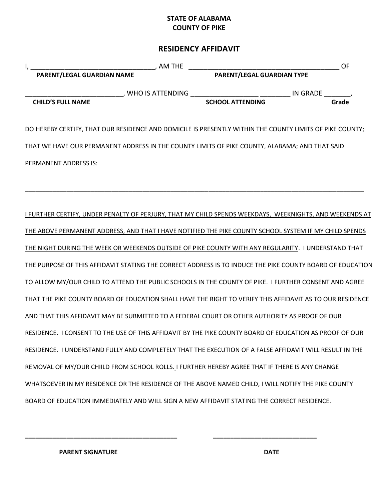### **STATE OF ALABAMA COUNTY OF PIKE**

## **RESIDENCY AFFIDAVIT**

| I,<br>PARENT/LEGAL GUARDIAN NAME | $\frac{1}{\sqrt{1-\frac{1}{2}}}\sum_{n=1}^{\infty}$ AM THE                                                                                                                                                         | <b>PARENT/LEGAL GUARDIAN TYPE</b> | OF    |
|----------------------------------|--------------------------------------------------------------------------------------------------------------------------------------------------------------------------------------------------------------------|-----------------------------------|-------|
| <b>CHILD'S FULL NAME</b>         | $\_$ , WHO IS ATTENDING $\_$                                                                                                                                                                                       | SCHOOL ATTENDING IN GRADE         | Grade |
|                                  | DO HEREBY CERTIFY, THAT OUR RESIDENCE AND DOMICILE IS PRESENTLY WITHIN THE COUNTY LIMITS OF PIKE COUNTY;<br>THAT WE HAVE OUR PERMANENT ADDRESS IN THE COUNTY LIMITS OF PIKE COUNTY, ALABAMA; AND THAT SAID         |                                   |       |
| PERMANENT ADDRESS IS:            |                                                                                                                                                                                                                    |                                   |       |
|                                  | I FURTHER CERTIFY, UNDER PENALTY OF PERJURY, THAT MY CHILD SPENDS WEEKDAYS, WEEKNIGHTS, AND WEEKENDS AT<br>THE ABOVE PERMANENT ADDRESS, AND THAT I HAVE NOTIFIED THE PIKE COUNTY SCHOOL SYSTEM IF MY CHILD SPENDS  |                                   |       |
|                                  | THE NIGHT DURING THE WEEK OR WEEKENDS OUTSIDE OF PIKE COUNTY WITH ANY REGULARITY. I UNDERSTAND THAT                                                                                                                |                                   |       |
|                                  | THE PURPOSE OF THIS AFFIDAVIT STATING THE CORRECT ADDRESS IS TO INDUCE THE PIKE COUNTY BOARD OF EDUCATION<br>TO ALLOW MY/OUR CHILD TO ATTEND THE PUBLIC SCHOOLS IN THE COUNTY OF PIKE. I FURTHER CONSENT AND AGREE |                                   |       |
|                                  | THAT THE PIKE COUNTY BOARD OF EDUCATION SHALL HAVE THE RIGHT TO VERIFY THIS AFFIDAVIT AS TO OUR RESIDENCE                                                                                                          |                                   |       |
|                                  | AND THAT THIS AFFIDAVIT MAY BE SUBMITTED TO A FEDERAL COURT OR OTHER AUTHORITY AS PROOF OF OUR<br>RESIDENCE. I CONSENT TO THE USE OF THIS AFFIDAVIT BY THE PIKE COUNTY BOARD OF EDUCATION AS PROOF OF OUR          |                                   |       |
|                                  | RESIDENCE. I UNDERSTAND FULLY AND COMPLETELY THAT THE EXECUTION OF A FALSE AFFIDAVIT WILL RESULT IN THE<br>REMOVAL OF MY/OUR CHIILD FROM SCHOOL ROLLS. I FURTHER HEREBY AGREE THAT IF THERE IS ANY CHANGE          |                                   |       |
|                                  | WHATSOEVER IN MY RESIDENCE OR THE RESIDENCE OF THE ABOVE NAMED CHILD, I WILL NOTIFY THE PIKE COUNTY<br>BOARD OF EDUCATION IMMEDIATELY AND WILL SIGN A NEW AFFIDAVIT STATING THE CORRECT RESIDENCE.                 |                                   |       |

**\_\_\_\_\_\_\_\_\_\_\_\_\_\_\_\_\_\_\_\_\_\_\_\_\_\_\_\_\_\_\_\_\_\_\_\_\_\_\_\_\_\_\_\_ \_\_\_\_\_\_\_\_\_\_\_\_\_\_\_\_\_\_\_\_\_\_\_\_\_\_\_\_\_\_**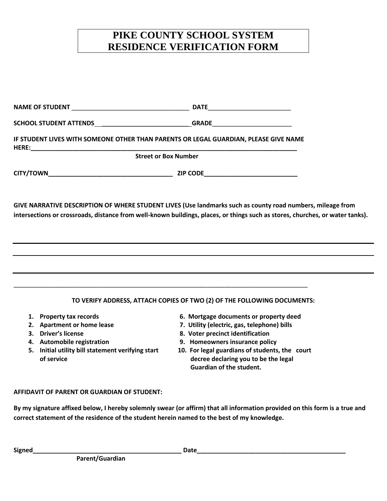## **PIKE COUNTY SCHOOL SYSTEM RESIDENCE VERIFICATION FORM**

| SCHOOL STUDENT ATTENDS ________________________________GRADE____________________                                                                                                                                                            |                                                                                                                                                                                                                                                                                          |  |
|---------------------------------------------------------------------------------------------------------------------------------------------------------------------------------------------------------------------------------------------|------------------------------------------------------------------------------------------------------------------------------------------------------------------------------------------------------------------------------------------------------------------------------------------|--|
| IF STUDENT LIVES WITH SOMEONE OTHER THAN PARENTS OR LEGAL GUARDIAN, PLEASE GIVE NAME                                                                                                                                                        |                                                                                                                                                                                                                                                                                          |  |
| <b>Street or Box Number</b>                                                                                                                                                                                                                 |                                                                                                                                                                                                                                                                                          |  |
|                                                                                                                                                                                                                                             |                                                                                                                                                                                                                                                                                          |  |
| GIVE NARRATIVE DESCRIPTION OF WHERE STUDENT LIVES (Use landmarks such as county road numbers, mileage from<br>intersections or crossroads, distance from well-known buildings, places, or things such as stores, churches, or water tanks). |                                                                                                                                                                                                                                                                                          |  |
|                                                                                                                                                                                                                                             |                                                                                                                                                                                                                                                                                          |  |
|                                                                                                                                                                                                                                             | TO VERIFY ADDRESS, ATTACH COPIES OF TWO (2) OF THE FOLLOWING DOCUMENTS:                                                                                                                                                                                                                  |  |
| 1. Property tax records<br>2. Apartment or home lease<br>3. Driver's license<br>4. Automobile registration<br>5. Initial utility bill statement verifying start<br>of service                                                               | 6. Mortgage documents or property deed<br>7. Utility (electric, gas, telephone) bills<br>8. Voter precinct identification<br>9. Homeowners insurance policy<br>10. For legal guardians of students, the court<br>decree declaring you to be the legal<br><b>Guardian of the student.</b> |  |

### **AFFIDAVIT OF PARENT OR GUARDIAN OF STUDENT:**

**By my signature affixed below, I hereby solemnly swear (or affirm) that all information provided on this form is a true and correct statement of the residence of the student herein named to the best of my knowledge.**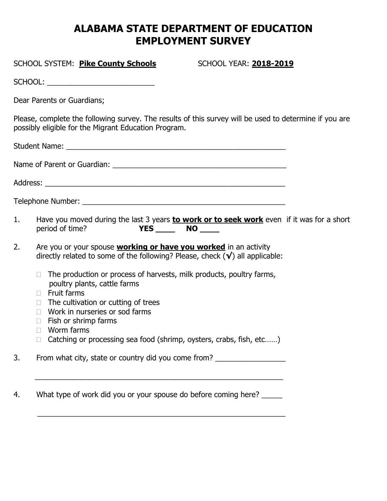## **ALABAMA STATE DEPARTMENT OF EDUCATION EMPLOYMENT SURVEY**

# SCHOOL SYSTEM: **Pike County Schools** SCHOOL YEAR: **2018-2019** SCHOOL: \_\_\_\_\_\_\_\_\_\_\_\_\_\_\_\_\_\_\_\_\_\_\_\_\_\_ Dear Parents or Guardians; Please, complete the following survey. The results of this survey will be used to determine if you are possibly eligible for the Migrant Education Program. Student Name: \_\_\_\_\_\_\_\_\_\_\_\_\_\_\_\_\_\_\_\_\_\_\_\_\_\_\_\_\_\_\_\_\_\_\_\_\_\_\_\_\_\_\_\_\_\_\_\_\_\_\_\_\_ Name of Parent or Guardian: \_\_\_\_\_\_\_\_\_\_\_\_\_\_\_\_\_\_\_\_\_\_\_\_\_\_\_\_\_\_\_\_\_\_\_\_\_\_\_\_\_\_ Address:

1. Have you moved during the last 3 years **to work or to seek work** even if it was for a short period of time? **YES \_\_\_\_\_ NO \_\_\_\_** 

2. Are you or your spouse **working or have you worked** in an activity directly related to some of the following? Please, check (**√**) all applicable:

Telephone Number: \_\_\_\_\_\_\_\_\_\_\_\_\_\_\_\_\_\_\_\_\_\_\_\_\_\_\_\_\_\_\_\_\_\_\_\_\_\_\_\_\_\_\_\_\_\_\_\_\_

- $\Box$  The production or process of harvests, milk products, poultry farms, poultry plants, cattle farms
- $\Box$  Fruit farms
- $\Box$  The cultivation or cutting of trees
- $\Box$  Work in nurseries or sod farms
- $\Box$  Fish or shrimp farms
- □ Worm farms
- □ Catching or processing sea food (shrimp, oysters, crabs, fish, etc......)

3. From what city, state or country did you come from? \_\_\_\_\_\_\_\_\_\_\_\_\_\_\_\_\_\_\_\_\_\_\_\_\_

 $\overline{\phantom{a}}$  ,  $\overline{\phantom{a}}$  ,  $\overline{\phantom{a}}$  ,  $\overline{\phantom{a}}$  ,  $\overline{\phantom{a}}$  ,  $\overline{\phantom{a}}$  ,  $\overline{\phantom{a}}$  ,  $\overline{\phantom{a}}$  ,  $\overline{\phantom{a}}$  ,  $\overline{\phantom{a}}$  ,  $\overline{\phantom{a}}$  ,  $\overline{\phantom{a}}$  ,  $\overline{\phantom{a}}$  ,  $\overline{\phantom{a}}$  ,  $\overline{\phantom{a}}$  ,  $\overline{\phantom{a}}$ 

 $\overline{\phantom{a}}$  ,  $\overline{\phantom{a}}$  ,  $\overline{\phantom{a}}$  ,  $\overline{\phantom{a}}$  ,  $\overline{\phantom{a}}$  ,  $\overline{\phantom{a}}$  ,  $\overline{\phantom{a}}$  ,  $\overline{\phantom{a}}$  ,  $\overline{\phantom{a}}$  ,  $\overline{\phantom{a}}$  ,  $\overline{\phantom{a}}$  ,  $\overline{\phantom{a}}$  ,  $\overline{\phantom{a}}$  ,  $\overline{\phantom{a}}$  ,  $\overline{\phantom{a}}$  ,  $\overline{\phantom{a}}$ 

4. What type of work did you or your spouse do before coming here?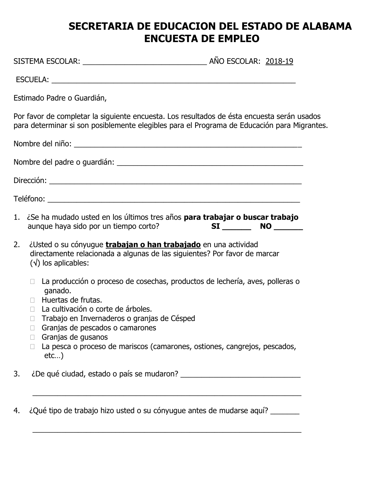# **SECRETARIA DE EDUCACION DEL ESTADO DE ALABAMA ENCUESTA DE EMPLEO**

|    | Estimado Padre o Guardián,                                                                                                                                                                                          |                                                                                                                                                                                           |
|----|---------------------------------------------------------------------------------------------------------------------------------------------------------------------------------------------------------------------|-------------------------------------------------------------------------------------------------------------------------------------------------------------------------------------------|
|    |                                                                                                                                                                                                                     | Por favor de completar la siguiente encuesta. Los resultados de ésta encuesta serán usados<br>para determinar si son posiblemente elegibles para el Programa de Educación para Migrantes. |
|    |                                                                                                                                                                                                                     |                                                                                                                                                                                           |
|    |                                                                                                                                                                                                                     |                                                                                                                                                                                           |
|    |                                                                                                                                                                                                                     |                                                                                                                                                                                           |
|    |                                                                                                                                                                                                                     |                                                                                                                                                                                           |
|    | aunque haya sido por un tiempo corto?                                                                                                                                                                               | 1. ¿Se ha mudado usted en los últimos tres años <b>para trabajar o buscar trabajo</b><br>$SI$ MO $\_\_$                                                                                   |
| 2. | ¿Usted o su cónyugue trabajan o han trabajado en una actividad<br>$(\sqrt{})$ los aplicables:                                                                                                                       | directamente relacionada a algunas de las siguientes? Por favor de marcar                                                                                                                 |
|    | ganado.<br>Huertas de frutas.<br>La cultivación o corte de árboles.<br>$\Box$<br>□ Trabajo en Invernaderos o granjas de Césped<br>Granjas de pescados o camarones<br>$\Box$<br>$\Box$ Granjas de gusanos<br>$etc$ ) | La producción o proceso de cosechas, productos de lechería, aves, polleras o<br>La pesca o proceso de mariscos (camarones, ostiones, cangrejos, pescados,                                 |
| 3. |                                                                                                                                                                                                                     |                                                                                                                                                                                           |
| 4. |                                                                                                                                                                                                                     | ¿Qué tipo de trabajo hizo usted o su cónyugue antes de mudarse aquí?                                                                                                                      |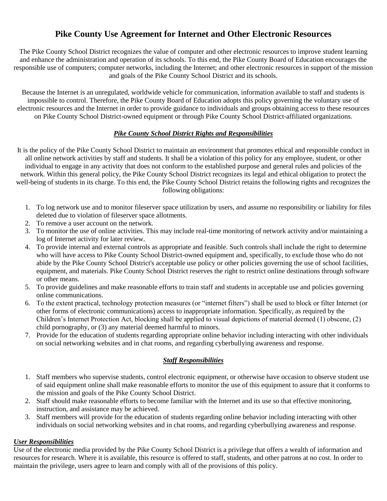## **Pike County Use Agreement for Internet and Other Electronic Resources**

The Pike County School District recognizes the value of computer and other electronic resources to improve student learning and enhance the administration and operation of its schools. To this end, the Pike County Board of Education encourages the responsible use of computers; computer networks, including the Internet; and other electronic resources in support of the mission and goals of the Pike County School District and its schools.

Because the Internet is an unregulated, worldwide vehicle for communication, information available to staff and students is impossible to control. Therefore, the Pike County Board of Education adopts this policy governing the voluntary use of electronic resources and the Internet in order to provide guidance to individuals and groups obtaining access to these resources on Pike County School District-owned equipment or through Pike County School District-affiliated organizations.

### *Pike County School District Rights and Responsibilities*

It is the policy of the Pike County School District to maintain an environment that promotes ethical and responsible conduct in all online network activities by staff and students. It shall be a violation of this policy for any employee, student, or other individual to engage in any activity that does not conform to the established purpose and general rules and policies of the network. Within this general policy, the Pike County School District recognizes its legal and ethical obligation to protect the well-being of students in its charge. To this end, the Pike County School District retains the following rights and recognizes the following obligations:

- 1. To log network use and to monitor fileserver space utilization by users, and assume no responsibility or liability for files deleted due to violation of fileserver space allotments.
- 2. To remove a user account on the network.
- 3. To monitor the use of online activities. This may include real-time monitoring of network activity and/or maintaining a log of Internet activity for later review.
- 4. To provide internal and external controls as appropriate and feasible. Such controls shall include the right to determine who will have access to Pike County School District-owned equipment and, specifically, to exclude those who do not abide by the Pike County School District's acceptable use policy or other policies governing the use of school facilities, equipment, and materials. Pike County School District reserves the right to restrict online destinations through software or other means.
- 5. To provide guidelines and make reasonable efforts to train staff and students in acceptable use and policies governing online communications.
- 6. To the extent practical, technology protection measures (or "internet filters") shall be used to block or filter Internet (or other forms of electronic communications) access to inappropriate information. Specifically, as required by the Children's Internet Protection Act, blocking shall be applied to visual depictions of material deemed (1) obscene, (2) child pornography, or (3) any material deemed harmful to minors.
- 7. Provide for the education of students regarding appropriate online behavior including interacting with other individuals on social networking websites and in chat rooms, and regarding cyberbullying awareness and response.

### *Staff Responsibilities*

- 1. Staff members who supervise students, control electronic equipment, or otherwise have occasion to observe student use of said equipment online shall make reasonable efforts to monitor the use of this equipment to assure that it conforms to the mission and goals of the Pike County School District.
- 2. Staff should make reasonable efforts to become familiar with the Internet and its use so that effective monitoring, instruction, and assistance may be achieved.
- 3. Staff members will provide for the education of students regarding online behavior including interacting with other individuals on social networking websites and in chat rooms, and regarding cyberbullying awareness and response.

### *User Responsibilities*

Use of the electronic media provided by the Pike County School District is a privilege that offers a wealth of information and resources for research. Where it is available, this resource is offered to staff, students, and other patrons at no cost. In order to maintain the privilege, users agree to learn and comply with all of the provisions of this policy.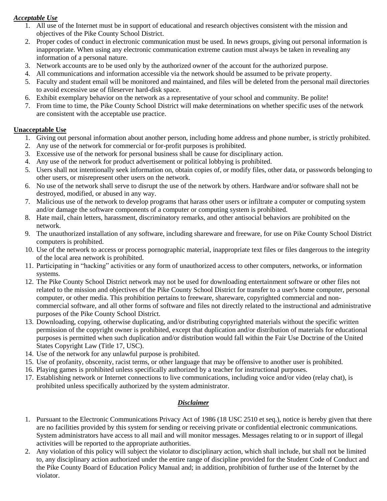### *Acceptable Use*

- 1. All use of the Internet must be in support of educational and research objectives consistent with the mission and objectives of the Pike County School District.
- 2. Proper codes of conduct in electronic communication must be used. In news groups, giving out personal information is inappropriate. When using any electronic communication extreme caution must always be taken in revealing any information of a personal nature.
- 3. Network accounts are to be used only by the authorized owner of the account for the authorized purpose.
- 4. All communications and information accessible via the network should be assumed to be private property.
- 5. Faculty and student email will be monitored and maintained, and files will be deleted from the personal mail directories to avoid excessive use of fileserver hard-disk space.
- 6. Exhibit exemplary behavior on the network as a representative of your school and community. Be polite!
- 7. From time to time, the Pike County School District will make determinations on whether specific uses of the network are consistent with the acceptable use practice.

### **Unacceptable Use**

- 1. Giving out personal information about another person, including home address and phone number, is strictly prohibited.
- 2. Any use of the network for commercial or for-profit purposes is prohibited.
- 3. Excessive use of the network for personal business shall be cause for disciplinary action.
- 4. Any use of the network for product advertisement or political lobbying is prohibited.
- 5. Users shall not intentionally seek information on, obtain copies of, or modify files, other data, or passwords belonging to other users, or misrepresent other users on the network.
- 6. No use of the network shall serve to disrupt the use of the network by others. Hardware and/or software shall not be destroyed, modified, or abused in any way.
- 7. Malicious use of the network to develop programs that harass other users or infiltrate a computer or computing system and/or damage the software components of a computer or computing system is prohibited.
- 8. Hate mail, chain letters, harassment, discriminatory remarks, and other antisocial behaviors are prohibited on the network.
- 9. The unauthorized installation of any software, including shareware and freeware, for use on Pike County School District computers is prohibited.
- 10. Use of the network to access or process pornographic material, inappropriate text files or files dangerous to the integrity of the local area network is prohibited.
- 11. Participating in "hacking" activities or any form of unauthorized access to other computers, networks, or information systems.
- 12. The Pike County School District network may not be used for downloading entertainment software or other files not related to the mission and objectives of the Pike County School District for transfer to a user's home computer, personal computer, or other media. This prohibition pertains to freeware, shareware, copyrighted commercial and noncommercial software, and all other forms of software and files not directly related to the instructional and administrative purposes of the Pike County School District.
- 13. Downloading, copying, otherwise duplicating, and/or distributing copyrighted materials without the specific written permission of the copyright owner is prohibited, except that duplication and/or distribution of materials for educational purposes is permitted when such duplication and/or distribution would fall within the Fair Use Doctrine of the United States Copyright Law (Title 17, USC).
- 14. Use of the network for any unlawful purpose is prohibited.
- 15. Use of profanity, obscenity, racist terms, or other language that may be offensive to another user is prohibited.
- 16. Playing games is prohibited unless specifically authorized by a teacher for instructional purposes.
- 17. Establishing network or Internet connections to live communications, including voice and/or video (relay chat), is prohibited unless specifically authorized by the system administrator.

### *Disclaimer*

- 1. Pursuant to the Electronic Communications Privacy Act of 1986 (18 USC 2510 et seq.), notice is hereby given that there are no facilities provided by this system for sending or receiving private or confidential electronic communications. System administrators have access to all mail and will monitor messages. Messages relating to or in support of illegal activities will be reported to the appropriate authorities.
- 2. Any violation of this policy will subject the violator to disciplinary action, which shall include, but shall not be limited to, any disciplinary action authorized under the entire range of discipline provided for the Student Code of Conduct and the Pike County Board of Education Policy Manual and; in addition, prohibition of further use of the Internet by the violator.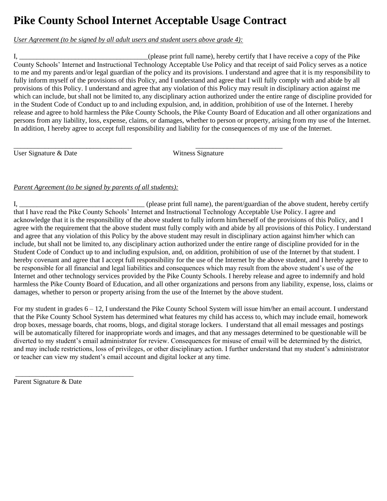# **Pike County School Internet Acceptable Usage Contract**

\_\_\_\_\_\_\_\_\_\_\_\_\_\_\_\_\_\_\_\_\_\_\_\_\_\_\_\_\_\_\_\_\_\_ \_\_\_\_\_\_\_\_\_\_\_\_\_\_\_\_\_\_\_\_\_\_\_\_\_

*User Agreement (to be signed by all adult users and student users above grade 4):* 

I, \_\_\_\_\_\_\_\_\_\_\_\_\_\_\_\_\_\_\_\_\_\_\_\_\_\_\_\_\_\_\_\_\_\_\_\_\_(please print full name), hereby certify that I have receive a copy of the Pike County Schools' Internet and Instructional Technology Acceptable Use Policy and that receipt of said Policy serves as a notice to me and my parents and/or legal guardian of the policy and its provisions. I understand and agree that it is my responsibility to fully inform myself of the provisions of this Policy, and I understand and agree that I will fully comply with and abide by all provisions of this Policy. I understand and agree that any violation of this Policy may result in disciplinary action against me which can include, but shall not be limited to, any disciplinary action authorized under the entire range of discipline provided for in the Student Code of Conduct up to and including expulsion, and, in addition, prohibition of use of the Internet. I hereby release and agree to hold harmless the Pike County Schools, the Pike County Board of Education and all other organizations and persons from any liability, loss, expense, claims, or damages, whether to person or property, arising from my use of the Internet. In addition, I hereby agree to accept full responsibility and liability for the consequences of my use of the Internet.

User Signature & Date Witness Signature

### *Parent Agreement (to be signed by parents of all students):*

I, \_\_\_\_\_\_\_\_\_\_\_\_\_\_\_\_\_\_\_\_\_\_\_\_\_\_\_\_\_\_\_\_\_\_\_\_ (please print full name), the parent/guardian of the above student, hereby certify that I have read the Pike County Schools' Internet and Instructional Technology Acceptable Use Policy. I agree and acknowledge that it is the responsibility of the above student to fully inform him/herself of the provisions of this Policy, and I agree with the requirement that the above student must fully comply with and abide by all provisions of this Policy. I understand and agree that any violation of this Policy by the above student may result in disciplinary action against him/her which can include, but shall not be limited to, any disciplinary action authorized under the entire range of discipline provided for in the Student Code of Conduct up to and including expulsion, and, on addition, prohibition of use of the Internet by that student. I hereby covenant and agree that I accept full responsibility for the use of the Internet by the above student, and I hereby agree to be responsible for all financial and legal liabilities and consequences which may result from the above student's use of the Internet and other technology services provided by the Pike County Schools. I hereby release and agree to indemnify and hold harmless the Pike County Board of Education, and all other organizations and persons from any liability, expense, loss, claims or damages, whether to person or property arising from the use of the Internet by the above student.

For my student in grades 6 – 12, I understand the Pike County School System will issue him/her an email account. I understand that the Pike County School System has determined what features my child has access to, which may include email, homework drop boxes, message boards, chat rooms, blogs, and digital storage lockers. I understand that all email messages and postings will be automatically filtered for inappropriate words and images, and that any messages determined to be questionable will be diverted to my student's email administrator for review. Consequences for misuse of email will be determined by the district, and may include restrictions, loss of privileges, or other disciplinary action. I further understand that my student's administrator or teacher can view my student's email account and digital locker at any time.

\_\_\_\_\_\_\_\_\_\_\_\_\_\_\_\_\_\_\_\_\_\_\_\_\_\_\_\_\_\_\_\_\_\_

Parent Signature & Date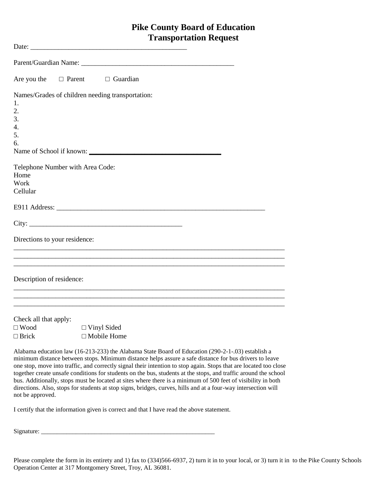## **Pike County Board of Education Transportation Request**

| Are you the                      | $\Box$ Parent $\Box$ Guardian                                                                                                                                                                                                                                                                                                |
|----------------------------------|------------------------------------------------------------------------------------------------------------------------------------------------------------------------------------------------------------------------------------------------------------------------------------------------------------------------------|
|                                  | Names/Grades of children needing transportation:                                                                                                                                                                                                                                                                             |
| 1.                               |                                                                                                                                                                                                                                                                                                                              |
| 2.                               |                                                                                                                                                                                                                                                                                                                              |
| 3.                               |                                                                                                                                                                                                                                                                                                                              |
| 4.                               |                                                                                                                                                                                                                                                                                                                              |
| 5.                               |                                                                                                                                                                                                                                                                                                                              |
| 6.                               |                                                                                                                                                                                                                                                                                                                              |
|                                  | Name of School if known:                                                                                                                                                                                                                                                                                                     |
| Telephone Number with Area Code: |                                                                                                                                                                                                                                                                                                                              |
| Home                             |                                                                                                                                                                                                                                                                                                                              |
| Work                             |                                                                                                                                                                                                                                                                                                                              |
| Cellular                         |                                                                                                                                                                                                                                                                                                                              |
|                                  |                                                                                                                                                                                                                                                                                                                              |
|                                  |                                                                                                                                                                                                                                                                                                                              |
| Directions to your residence:    |                                                                                                                                                                                                                                                                                                                              |
|                                  |                                                                                                                                                                                                                                                                                                                              |
| Description of residence:        | <u> 1989 - Johann Barn, amerikan bernama di sebagai bernama di sebagai bernama di sebagai bernama di sebagai bern</u>                                                                                                                                                                                                        |
|                                  | <u> 1989 - Johann Barn, amerikan bernama di sebagai bernama di sebagai bernama di sebagai bernama di sebagai bern</u>                                                                                                                                                                                                        |
| Check all that apply:            |                                                                                                                                                                                                                                                                                                                              |
| $\square$ Wood                   | $\Box$ Vinyl Sided                                                                                                                                                                                                                                                                                                           |
| $\Box$ Brick                     | $\Box$ Mobile Home                                                                                                                                                                                                                                                                                                           |
|                                  | Alabama education law (16-213-233) the Alabama State Board of Education (290-2-1-03) establish a<br>minimum distance between stops. Minimum distance helps assure a safe distance for bus drivers to leave<br>one gton move into traffic and correctly given their intention to stop eggin. Stops that are located too close |

one stop, move into traffic, and correctly signal their intention to stop again. Stops that are located too close together create unsafe conditions for students on the bus, students at the stops, and traffic around the school bus. Additionally, stops must be located at sites where there is a minimum of 500 feet of visibility in both directions. Also, stops for students at stop signs, bridges, curves, hills and at a four-way intersection will not be approved.

I certify that the information given is correct and that I have read the above statement.

 $Signature: \begin{tabular}{|l|l|} \hline \hline \multicolumn{1}{|l|}{3} & \multicolumn{1}{|l|}{5} & \multicolumn{1}{|l|}{5} \\ \hline \multicolumn{1}{|l|}{5} & \multicolumn{1}{|l|}{5} & \multicolumn{1}{|l|}{5} & \multicolumn{1}{|l|}{5} & \multicolumn{1}{|l|}{5} & \multicolumn{1}{|l|}{5} & \multicolumn{1}{|l|}{5} & \multicolumn{1}{|l|}{5} & \multicolumn{1}{|l|}{5} & \multicolumn{1}{|l|}{5} & \multicolumn{1}{|l|}{5}$ 

Please complete the form in its entirety and 1) fax to (334)566-6937, 2) turn it in to your local, or 3) turn it in to the Pike County Schools Operation Center at 317 Montgomery Street, Troy, AL 36081.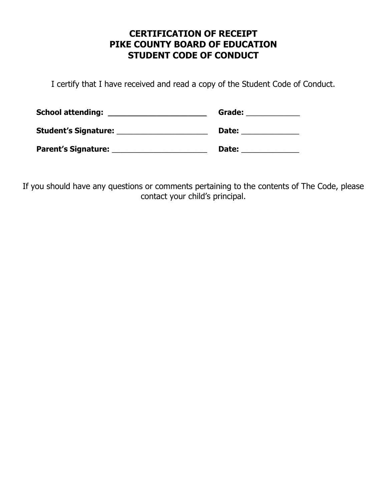## **CERTIFICATION OF RECEIPT PIKE COUNTY BOARD OF EDUCATION STUDENT CODE OF CONDUCT**

I certify that I have received and read a copy of the Student Code of Conduct.

| <b>School attending:</b>    | Grade: |
|-----------------------------|--------|
| <b>Student's Signature:</b> | Date:  |
| <b>Parent's Signature:</b>  | Date:  |

If you should have any questions or comments pertaining to the contents of The Code, please contact your child's principal.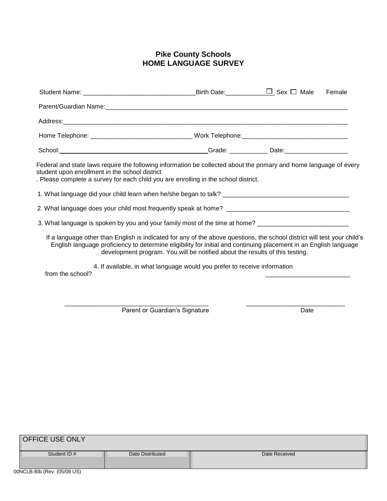### **Pike County Schools HOME LANGUAGE SURVEY**

|                                                                                                                                                                                                                                                                                                                               |  | Female |
|-------------------------------------------------------------------------------------------------------------------------------------------------------------------------------------------------------------------------------------------------------------------------------------------------------------------------------|--|--------|
|                                                                                                                                                                                                                                                                                                                               |  |        |
|                                                                                                                                                                                                                                                                                                                               |  |        |
|                                                                                                                                                                                                                                                                                                                               |  |        |
|                                                                                                                                                                                                                                                                                                                               |  |        |
| Federal and state laws require the following information be collected about the primary and home language of every<br>student upon enrollment in the school district<br>. Please complete a survey for each child you are enrolling in the school district.                                                                   |  |        |
|                                                                                                                                                                                                                                                                                                                               |  |        |
|                                                                                                                                                                                                                                                                                                                               |  |        |
| 3. What language is spoken by you and your family most of the time at home? _______________________                                                                                                                                                                                                                           |  |        |
| If a language other than English is indicated for any of the above questions, the school district will test your child's<br>English language proficiency to determine eligibility for initial and continuing placement in an English language<br>development program. You will be notified about the results of this testing. |  |        |
| 4. If available, in what language would you prefer to receive information<br>from the school?                                                                                                                                                                                                                                 |  |        |
|                                                                                                                                                                                                                                                                                                                               |  |        |
|                                                                                                                                                                                                                                                                                                                               |  |        |

| Parent or Guardian's Signature | Date |
|--------------------------------|------|
|--------------------------------|------|

| <b>OFFICE USE ONLY</b> |                  |               |  |  |  |  |
|------------------------|------------------|---------------|--|--|--|--|
| Student ID #           | Date Distributed | Date Received |  |  |  |  |
|                        |                  |               |  |  |  |  |